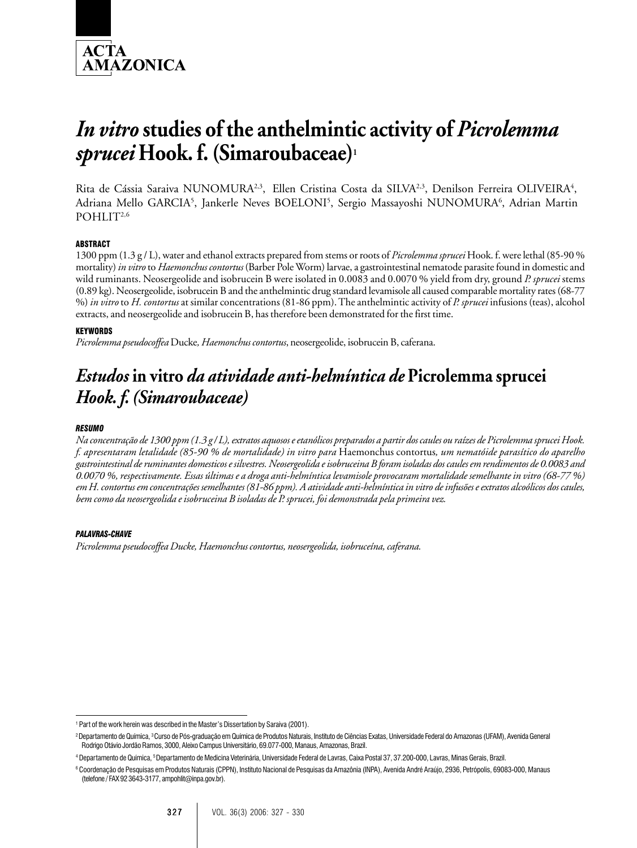

# *In vitro* **studies of the anthelmintic activity of** *Picrolemma sprucei* **Hook. f. (Simaroubaceae)1**

Rita de Cássia Saraiva NUNOMURA<sup>2,3</sup>, Ellen Cristina Costa da SILVA<sup>2,3</sup>, Denilson Ferreira OLIVEIRA<sup>4</sup>, Adriana Mello GARCIA<sup>5</sup>, Jankerle Neves BOELONI<sup>5</sup>, Sergio Massayoshi NUNOMURA<sup>6</sup>, Adrian Martin POHLIT<sup>2,6</sup>

## **ARSTRACT**

1300 ppm (1.3 g / L), water and ethanol extracts prepared from stems or roots of *Picrolemma sprucei* Hook. f. were lethal (85-90 % mortality) *in vitro* to *Haemonchus contortus* (Barber Pole Worm) larvae, a gastrointestinal nematode parasite found in domestic and wild ruminants. Neosergeolide and isobrucein B were isolated in 0.0083 and 0.0070 % yield from dry, ground *P. sprucei* stems (0.89 kg). Neosergeolide, isobrucein B and the anthelmintic drug standard levamisole all caused comparable mortality rates (68-77 %) *in vitro* to *H. contortus* at similar concentrations (81-86 ppm). The anthelmintic activity of *P. sprucei* infusions (teas), alcohol extracts, and neosergeolide and isobrucein B, has therefore been demonstrated for the first time.

#### **KEYWORDS**

*Picrolemma pseudocoffea* Ducke*, Haemonchus contortus*, neosergeolide, isobrucein B, caferana.

## *Estudos* **in vitro** *da atividade anti-helmíntica de* **Picrolemma sprucei** *Hook. f. (Simaroubaceae)*

#### *RESUMO*

*Na concentração de 1300 ppm (1.3 g / L), extratos aquosos e etanólicos preparados a partir dos caules ou raízes de Picrolemma sprucei Hook. f. apresentaram letalidade (85-90 % de mortalidade) in vitro para* Haemonchus contortus*, um nematóide parasítico do aparelho gastrointestinal de ruminantes domesticos e silvestres. Neosergeolida e isobruceina B foram isoladas dos caules em rendimentos de 0.0083 and 0.0070 %, respectivamente. Essas últimas e a droga anti-helmíntica levamisole provocaram mortalidade semelhante in vitro (68-77 %) em H. contortus em concentrações semelhantes (81-86 ppm). A atividade anti-helmíntica in vitro de infusões e extratos alcoólicos dos caules, bem como da neosergeolida e isobruceina B isoladas de P. sprucei, foi demonstrada pela primeira vez.*

#### *PALAVRAS-CHAVE*

*Picrolemma pseudocoffea Ducke, Haemonchus contortus, neosergeolida, isobruceína, caferana.*

<sup>&</sup>lt;sup>1</sup> Part of the work herein was described in the Master's Dissertation by Saraiva (2001).

<sup>&</sup>lt;sup>2</sup> Departamento de Química, <sup>3</sup> Curso de Pós-graduação em Química de Produtos Naturais, Instituto de Ciências Exatas, Universidade Federal do Amazonas (UFAM), Avenida General Rodrigo Otávio Jordão Ramos, 3000, Aleixo Campus Universitário, 69.077-000, Manaus, Amazonas, Brazil.

<sup>4</sup> Departamento de Química, 5 Departamento de Medicina Veterinária, Universidade Federal de Lavras, Caixa Postal 37, 37.200-000, Lavras, Minas Gerais, Brazil.

<sup>6</sup> Coordenação de Pesquisas em Produtos Naturais (CPPN), Instituto Nacional de Pesquisas da Amazônia (INPA), Avenida André Araújo, 2936, Petrópolis, 69083-000, Manaus (telefone / FAX 92 3643-3177, ampohlit@inpa.gov.br).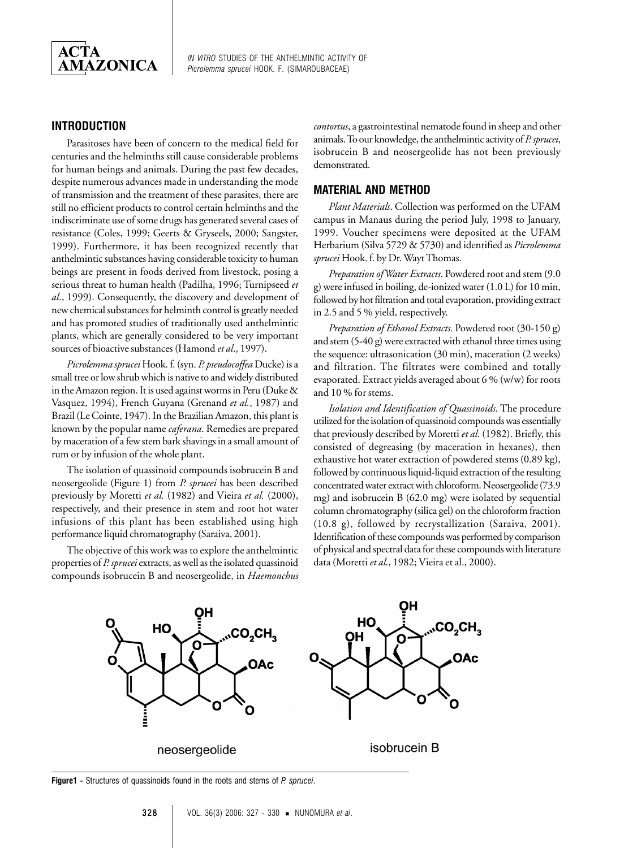

*IN VITRO* STUDIES OF THE ANTHELMINTIC ACTIVITY OF *Picrolemma sprucei* HOOK. F. (SIMAROUBACEAE)

## **INTRODUCTION**

Parasitoses have been of concern to the medical field for centuries and the helminths still cause considerable problems for human beings and animals. During the past few decades, despite numerous advances made in understanding the mode of transmission and the treatment of these parasites, there are still no efficient products to control certain helminths and the indiscriminate use of some drugs has generated several cases of resistance (Coles, 1999; Geerts & Gryseels, 2000; Sangster, 1999). Furthermore, it has been recognized recently that anthelmintic substances having considerable toxicity to human beings are present in foods derived from livestock, posing a serious threat to human health (Padilha, 1996; Turnipseed *et al*., 1999). Consequently, the discovery and development of new chemical substances for helminth control is greatly needed and has promoted studies of traditionally used anthelmintic plants, which are generally considered to be very important sources of bioactive substances (Hamond *et al*., 1997).

*Picrolemma sprucei* Hook. f. (syn. *P. pseudocoffea* Ducke) is a small tree or low shrub which is native to and widely distributed in the Amazon region. It is used against worms in Peru (Duke & Vasquez, 1994), French Guyana (Grenand *et al.*, 1987) and Brazil (Le Cointe, 1947). In the Brazilian Amazon, this plant is known by the popular name *caferana*. Remedies are prepared by maceration of a few stem bark shavings in a small amount of rum or by infusion of the whole plant.

The isolation of quassinoid compounds isobrucein B and neosergeolide (Figure 1) from *P. sprucei* has been described previously by Moretti *et al.* (1982) and Vieira *et al.* (2000), respectively, and their presence in stem and root hot water infusions of this plant has been established using high performance liquid chromatography (Saraiva, 2001).

The objective of this work was to explore the anthelmintic properties of *P. sprucei* extracts, as well as the isolated quassinoid compounds isobrucein B and neosergeolide, in *Haemonchus*

*contortus*, a gastrointestinal nematode found in sheep and other animals. To our knowledge, the anthelmintic activity of *P. sprucei*, isobrucein B and neosergeolide has not been previously demonstrated.

### **MATERIAL AND METHOD**

*Plant Materials*. Collection was performed on the UFAM campus in Manaus during the period July, 1998 to January, 1999. Voucher specimens were deposited at the UFAM Herbarium (Silva 5729 & 5730) and identified as *Picrolemma sprucei* Hook. f. by Dr. Wayt Thomas.

*Preparation of Water Extracts*. Powdered root and stem (9.0 g) were infused in boiling, de-ionized water (1.0 L) for 10 min, followed by hot filtration and total evaporation, providing extract in 2.5 and 5 % yield, respectively.

*Preparation of Ethanol Extracts.* Powdered root (30-150 g) and stem (5-40 g) were extracted with ethanol three times using the sequence: ultrasonication (30 min), maceration (2 weeks) and filtration. The filtrates were combined and totally evaporated. Extract yields averaged about 6 % (w/w) for roots and 10 % for stems.

*Isolation and Identification of Quassinoids.* The procedure utilized for the isolation of quassinoid compounds was essentially that previously described by Moretti *et al*. (1982). Briefly, this consisted of degreasing (by maceration in hexanes), then exhaustive hot water extraction of powdered stems (0.89 kg), followed by continuous liquid-liquid extraction of the resulting concentrated water extract with chloroform. Neosergeolide (73.9 mg) and isobrucein B (62.0 mg) were isolated by sequential column chromatography (silica gel) on the chloroform fraction (10.8 g), followed by recrystallization (Saraiva, 2001). Identification of these compounds was performed by comparison of physical and spectral data for these compounds with literature data (Moretti *et al*., 1982; Vieira et al., 2000).



**Figure1 -** Structures of quassinoids found in the roots and stems of *P. sprucei*.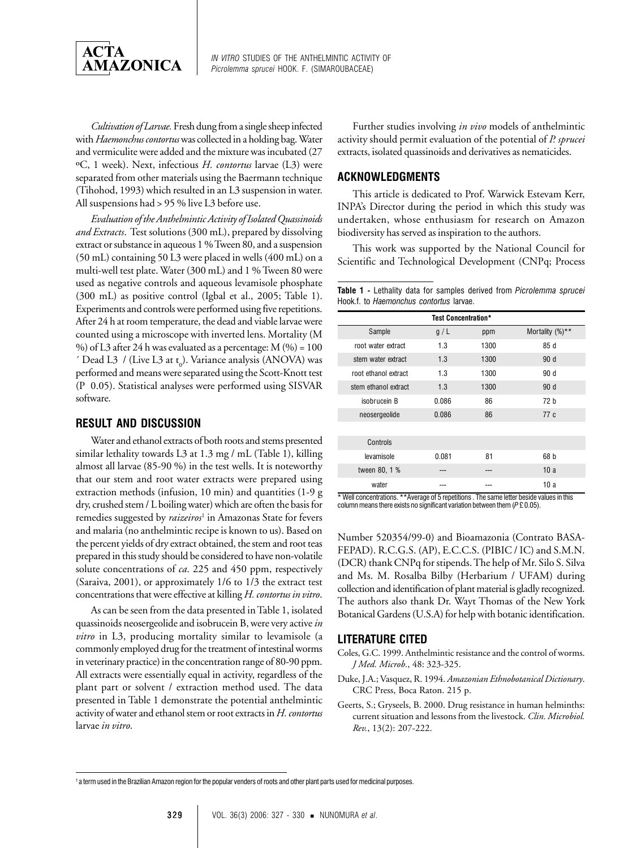

*IN VITRO* STUDIES OF THE ANTHELMINTIC ACTIVITY OF *Picrolemma sprucei* HOOK. F. (SIMAROUBACEAE)

*Cultivation of Larvae.* Fresh dung from a single sheep infected with *Haemonchus contortus* was collected in a holding bag. Water and vermiculite were added and the mixture was incubated (27 ºC, 1 week). Next, infectious *H. contortus* larvae (L3) were separated from other materials using the Baermann technique (Tihohod, 1993) which resulted in an L3 suspension in water. All suspensions had > 95 % live L3 before use.

*Evaluation of the Anthelmintic Activity of Isolated Quassinoids and Extracts*. Test solutions (300 mL), prepared by dissolving extract or substance in aqueous 1 % Tween 80, and a suspension (50 mL) containing 50 L3 were placed in wells (400 mL) on a multi-well test plate. Water (300 mL) and 1 % Tween 80 were used as negative controls and aqueous levamisole phosphate (300 mL) as positive control (Igbal et al., 2005; Table 1). Experiments and controls were performed using five repetitions. After 24 h at room temperature, the dead and viable larvae were counted using a microscope with inverted lens. Mortality (M %) of L3 after 24 h was evaluated as a percentage:  $M$  (%) = 100  $\prime$  Dead L3  $\prime$  (Live L3 at t<sub>0</sub>). Variance analysis (ANOVA) was performed and means were separated using the Scott-Knott test (P 0.05). Statistical analyses were performed using SISVAR software.

## **RESULT AND DISCUSSION**

Water and ethanol extracts of both roots and stems presented similar lethality towards L3 at 1.3 mg / mL (Table 1), killing almost all larvae (85-90 %) in the test wells. It is noteworthy that our stem and root water extracts were prepared using extraction methods (infusion, 10 min) and quantities (1-9 g dry, crushed stem / L boiling water) which are often the basis for remedies suggested by *raizeiros*<sup>1</sup> in Amazonas State for fevers and malaria (no anthelmintic recipe is known to us). Based on the percent yields of dry extract obtained, the stem and root teas prepared in this study should be considered to have non-volatile solute concentrations of *ca*. 225 and 450 ppm, respectively (Saraiva, 2001), or approximately 1/6 to 1/3 the extract test concentrations that were effective at killing *H. contortus in vitro*.

As can be seen from the data presented in Table 1, isolated quassinoids neosergeolide and isobrucein B, were very active *in vitro* in L3, producing mortality similar to levamisole (a commonly employed drug for the treatment of intestinal worms in veterinary practice) in the concentration range of 80-90 ppm. All extracts were essentially equal in activity, regardless of the plant part or solvent / extraction method used. The data presented in Table 1 demonstrate the potential anthelmintic activity of water and ethanol stem or root extracts in *H. contortus* larvae *in vitro*.

Further studies involving *in vivo* models of anthelmintic activity should permit evaluation of the potential of *P. sprucei* extracts, isolated quassinoids and derivatives as nematicides.

## **ACKNOWLEDGMENTS**

This article is dedicated to Prof. Warwick Estevam Kerr, INPA's Director during the period in which this study was undertaken, whose enthusiasm for research on Amazon biodiversity has served as inspiration to the authors.

This work was supported by the National Council for Scientific and Technological Development (CNPq; Process

**Table 1 -** Lethality data for samples derived from *Picrolemma sprucei* Hook.f. to *Haemonchus contortus* larvae.

| <b>Test Concentration*</b> |       |      |                    |
|----------------------------|-------|------|--------------------|
| Sample                     | g/L   | ppm  | Mortality $(\%)^*$ |
| root water extract         | 1.3   | 1300 | 85d                |
| stem water extract         | 1.3   | 1300 | 90d                |
| root ethanol extract       | 1.3   | 1300 | 90d                |
| stem ethanol extract       | 1.3   | 1300 | 90d                |
| isobrucein B               | 0.086 | 86   | 72 b               |
| neosergeolide              | 0.086 | 86   | 77 c               |
|                            |       |      |                    |
| Controls                   |       |      |                    |
| levamisole                 | 0.081 | 81   | 68 b               |
| tween 80, 1 %              |       |      | 10a                |
| water                      |       |      | 10a                |

\* Well concentrations. \*\*Average of 5 repetitions . The same letter beside values in this column means there exists no significant variation between them (*P* £ 0.05).

Number 520354/99-0) and Bioamazonia (Contrato BASA-FEPAD). R.C.G.S. (AP), E.C.C.S. (PIBIC / IC) and S.M.N. (DCR) thank CNPq for stipends. The help of Mr. Silo S. Silva and Ms. M. Rosalba Bilby (Herbarium / UFAM) during collection and identification of plant material is gladly recognized. The authors also thank Dr. Wayt Thomas of the New York Botanical Gardens (U.S.A) for help with botanic identification.

## **LITERATURE CITED**

- Coles, G.C. 1999. Anthelmintic resistance and the control of worms. *J Med. Microb.*, 48: 323-325.
- Duke, J.A.; Vasquez, R. 1994. *Amazonian Ethnobotanical Dictionary*. CRC Press, Boca Raton. 215 p.
- Geerts, S.; Gryseels, B. 2000. Drug resistance in human helminths: current situation and lessons from the livestock. *Clin. Microbiol. Rev.*, 13(2): 207-222.

<sup>1</sup> a term used in the Brazilian Amazon region for the popular venders of roots and other plant parts used for medicinal purposes.